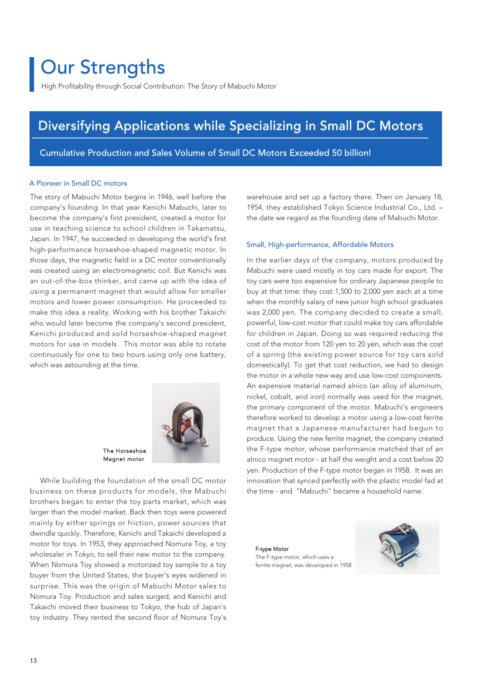# Our Strengths

High Profitability through Social Contribution: The Story of Mabuchi Motor

## Diversifying Applications while Specializing in Small DC Motors

Cumulative Production and Sales Volume of Small DC Motors Exceeded 50 billion!

#### A Pioneer in Small DC motors

The story of Mabuchi Motor begins in 1946, well before the company's founding. In that year Kenichi Mabuchi, later to become the company's first president, created a motor for use in teaching science to school children in Takamatsu, Japan. In 1947, he succeeded in developing the world's first high-performance horseshoe-shaped magnetic motor. In those days, the magnetic field in a DC motor conventionally was created using an electromagnetic coil. But Kenichi was an out-of-the-box thinker, and came up with the idea of using a permanent magnet that would allow for smaller motors and lower power consumption. He proceeded to make this idea a reality. Working with his brother Takaichi who would later become the company's second president, Kenichi produced and sold horseshoe-shaped magnet motors for use in models. This motor was able to rotate continuously for one to two hours using only one battery, which was astounding at the time.



The Horseshoe Magnet motor

 While building the foundation of the small DC motor business on these products for models, the Mabuchi brothers began to enter the toy parts market, which was larger than the model market. Back then toys were powered mainly by either springs or friction, power sources that dwindle quickly. Therefore, Kenichi and Takaichi developed a motor for toys. In 1953, they approached Nomura Toy, a toy wholesaler in Tokyo, to sell their new motor to the company. When Nomura Toy showed a motorized toy sample to a toy buyer from the United States, the buyer's eyes widened in surprise. This was the origin of Mabuchi Motor sales to Nomura Toy. Production and sales surged, and Kenichi and Takaichi moved their business to Tokyo, the hub of Japan's toy industry. They rented the second floor of Nomura Toy's

warehouse and set up a factory there. Then on January 18, 1954, they established Tokyo Science Industrial Co., Ltd. – the date we regard as the founding date of Mabuchi Motor.

#### Small, High-performance, Affordable Motors

In the earlier days of the company, motors produced by Mabuchi were used mostly in toy cars made for export. The toy cars were too expensive for ordinary Japanese people to buy at that time: they cost 1,500 to 2,000 yen each at a time when the monthly salary of new junior high school graduates was 2,000 yen. The company decided to create a small, powerful, low-cost motor that could make toy cars affordable for children in Japan. Doing so was required reducing the cost of the motor from 120 yen to 20 yen, which was the cost of a spring (the existing power source for toy cars sold domestically). To get that cost reduction, we had to design the motor in a whole new way and use low-cost components. An expensive material named alnico (an alloy of aluminum, nickel, cobalt, and iron) normally was used for the magnet, the primary component of the motor. Mabuchi's engineers therefore worked to develop a motor using a low-cost ferrite magnet that a Japanese manufacturer had begun to produce. Using the new ferrite magnet, the company created the F-type motor, whose performance matched that of an alnico magnet motor - at half the weight and a cost below 20 yen. Production of the F-type motor began in 1958. It was an innovation that synced perfectly with the plastic model fad at the time - and "Mabuchi" became a household name.

#### F-type Motor

The F-type motor, which uses a ferrite magnet, was developed in 1958

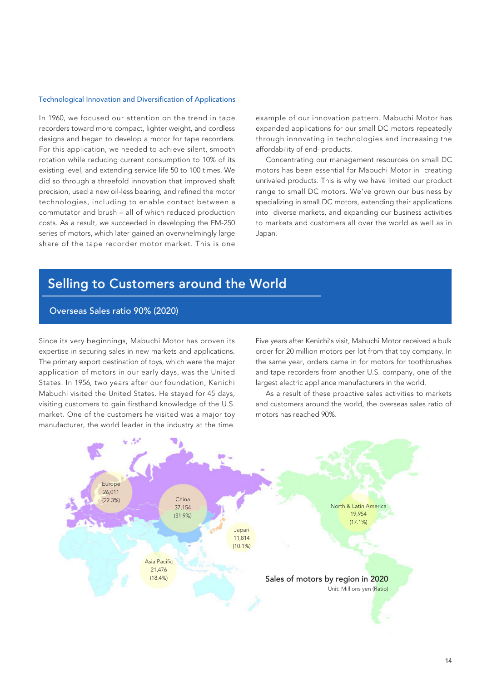#### Technological Innovation and Diversification of Applications

In 1960, we focused our attention on the trend in tape recorders toward more compact, lighter weight, and cordless designs and began to develop a motor for tape recorders. For this application, we needed to achieve silent, smooth rotation while reducing current consumption to 10% of its existing level, and extending service life 50 to 100 times. We did so through a threefold innovation that improved shaft precision, used a new oil-less bearing, and refined the motor technologies, including to enable contact between a commutator and brush – all of which reduced production costs. As a result, we succeeded in developing the FM-250 series of motors, which later gained an overwhelmingly large share of the tape recorder motor market. This is one

example of our innovation pattern. Mabuchi Motor has expanded applications for our small DC motors repeatedly through innovating in technologies and increasing the affordability of end- products.

 Concentrating our management resources on small DC motors has been essential for Mabuchi Motor in creating unrivaled products. This is why we have limited our product range to small DC motors. We've grown our business by specializing in small DC motors, extending their applications into diverse markets, and expanding our business activities to markets and customers all over the world as well as in Japan.

# Selling to Customers around the World

### Overseas Sales ratio 90% (2020)

Since its very beginnings, Mabuchi Motor has proven its expertise in securing sales in new markets and applications. The primary export destination of toys, which were the major application of motors in our early days, was the United States. In 1956, two years after our foundation, Kenichi Mabuchi visited the United States. He stayed for 45 days, visiting customers to gain firsthand knowledge of the U.S. market. One of the customers he visited was a major toy manufacturer, the world leader in the industry at the time. Five years after Kenichi's visit, Mabuchi Motor received a bulk order for 20 million motors per lot from that toy company. In the same year, orders came in for motors for toothbrushes and tape recorders from another U.S. company, one of the largest electric appliance manufacturers in the world.

 As a result of these proactive sales activities to markets and customers around the world, the overseas sales ratio of motors has reached 90%.

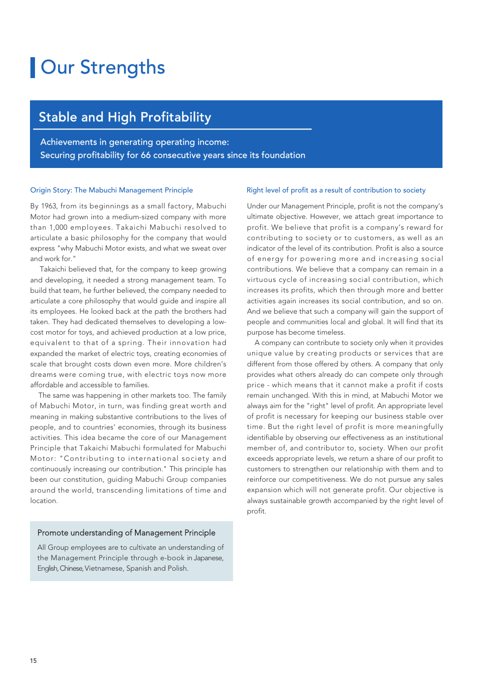# **Our Strengths**

## Stable and High Profitability

Achievements in generating operating income: Securing profitability for 66 consecutive years since its foundation

#### Origin Story: The Mabuchi Management Principle

By 1963, from its beginnings as a small factory, Mabuchi Motor had grown into a medium-sized company with more than 1,000 employees. Takaichi Mabuchi resolved to articulate a basic philosophy for the company that would express "why Mabuchi Motor exists, and what we sweat over and work for."

 Takaichi believed that, for the company to keep growing and developing, it needed a strong management team. To build that team, he further believed, the company needed to articulate a core philosophy that would guide and inspire all its employees. He looked back at the path the brothers had taken. They had dedicated themselves to developing a lowcost motor for toys, and achieved production at a low price, equivalent to that of a spring. Their innovation had expanded the market of electric toys, creating economies of scale that brought costs down even more. More children's dreams were coming true, with electric toys now more affordable and accessible to families.

 The same was happening in other markets too. The family of Mabuchi Motor, in turn, was finding great worth and meaning in making substantive contributions to the lives of people, and to countries' economies, through its business activities. This idea became the core of our Management Principle that Takaichi Mabuchi formulated for Mabuchi Motor: "Contributing to international society and continuously increasing our contribution." This principle has been our constitution, guiding Mabuchi Group companies around the world, transcending limitations of time and location.

### Promote understanding of Management Principle

All Group employees are to cultivate an understanding of the Management Principle through e-book in Japanese, English, Chinese, Vietnamese, Spanish and Polish.

#### Right level of profit as a result of contribution to society

Under our Management Principle, profit is not the company's ultimate objective. However, we attach great importance to profit. We believe that profit is a company's reward for contributing to society or to customers, as well as an indicator of the level of its contribution. Profit is also a source of energy for powering more and increasing social contributions. We believe that a company can remain in a virtuous cycle of increasing social contribution, which increases its profits, which then through more and better activities again increases its social contribution, and so on. And we believe that such a company will gain the support of people and communities local and global. It will find that its purpose has become timeless.

 A company can contribute to society only when it provides unique value by creating products or services that are different from those offered by others. A company that only provides what others already do can compete only through price - which means that it cannot make a profit if costs remain unchanged. With this in mind, at Mabuchi Motor we always aim for the "right" level of profit. An appropriate level of profit is necessary for keeping our business stable over time. But the right level of profit is more meaningfully identifiable by observing our effectiveness as an institutional member of, and contributor to, society. When our profit exceeds appropriate levels, we return a share of our profit to customers to strengthen our relationship with them and to reinforce our competitiveness. We do not pursue any sales expansion which will not generate profit. Our objective is always sustainable growth accompanied by the right level of profit.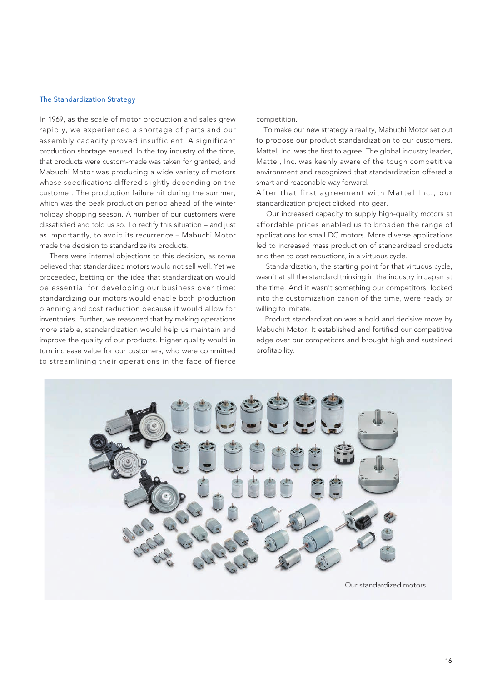#### The Standardization Strategy

In 1969, as the scale of motor production and sales grew rapidly, we experienced a shortage of parts and our assembly capacity proved insufficient. A significant production shortage ensued. In the toy industry of the time, that products were custom-made was taken for granted, and Mabuchi Motor was producing a wide variety of motors whose specifications differed slightly depending on the customer. The production failure hit during the summer, which was the peak production period ahead of the winter holiday shopping season. A number of our customers were dissatisfied and told us so. To rectify this situation – and just as importantly, to avoid its recurrence – Mabuchi Motor made the decision to standardize its products.

 There were internal objections to this decision, as some believed that standardized motors would not sell well. Yet we proceeded, betting on the idea that standardization would be essential for developing our business over time: standardizing our motors would enable both production planning and cost reduction because it would allow for inventories. Further, we reasoned that by making operations more stable, standardization would help us maintain and improve the quality of our products. Higher quality would in turn increase value for our customers, who were committed to streamlining their operations in the face of fierce competition.

 To make our new strategy a reality, Mabuchi Motor set out to propose our product standardization to our customers. Mattel, Inc. was the first to agree. The global industry leader, Mattel, Inc. was keenly aware of the tough competitive environment and recognized that standardization offered a smart and reasonable way forward.

After that first agreement with Mattel Inc., our standardization project clicked into gear.

 Our increased capacity to supply high-quality motors at affordable prices enabled us to broaden the range of applications for small DC motors. More diverse applications led to increased mass production of standardized products and then to cost reductions, in a virtuous cycle.

 Standardization, the starting point for that virtuous cycle, wasn't at all the standard thinking in the industry in Japan at the time. And it wasn't something our competitors, locked into the customization canon of the time, were ready or willing to imitate.

 Product standardization was a bold and decisive move by Mabuchi Motor. It established and fortified our competitive edge over our competitors and brought high and sustained profitability.

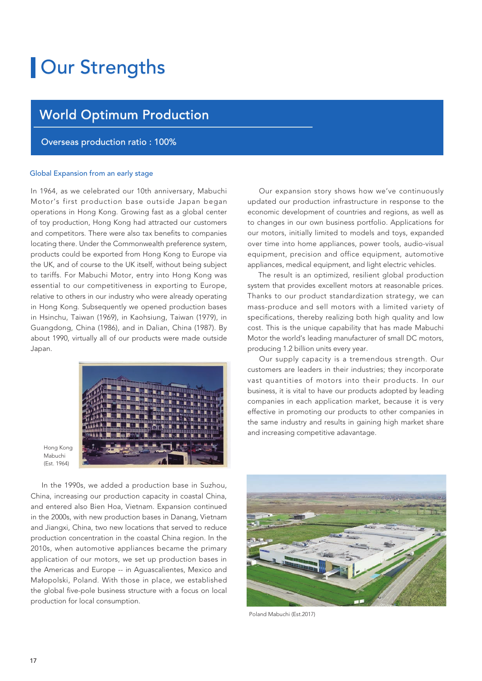# **Our Strengths**

## World Optimum Production

### Overseas production ratio : 100%

#### Global Expansion from an early stage

In 1964, as we celebrated our 10th anniversary, Mabuchi Motor's first production base outside Japan began operations in Hong Kong. Growing fast as a global center of toy production, Hong Kong had attracted our customers and competitors. There were also tax benefits to companies locating there. Under the Commonwealth preference system, products could be exported from Hong Kong to Europe via the UK, and of course to the UK itself, without being subject to tariffs. For Mabuchi Motor, entry into Hong Kong was essential to our competitiveness in exporting to Europe, relative to others in our industry who were already operating in Hong Kong. Subsequently we opened production bases in Hsinchu, Taiwan (1969), in Kaohsiung, Taiwan (1979), in Guangdong, China (1986), and in Dalian, China (1987). By about 1990, virtually all of our products were made outside Japan.



Hong Kong Mabuchi (Est. 1964)

 In the 1990s, we added a production base in Suzhou, China, increasing our production capacity in coastal China, and entered also Bien Hoa, Vietnam. Expansion continued in the 2000s, with new production bases in Danang, Vietnam and Jiangxi, China, two new locations that served to reduce production concentration in the coastal China region. In the 2010s, when automotive appliances became the primary application of our motors, we set up production bases in the Americas and Europe -- in Aguascalientes, Mexico and Małopolski, Poland. With those in place, we established the global five-pole business structure with a focus on local production for local consumption.

 Our expansion story shows how we've continuously updated our production infrastructure in response to the economic development of countries and regions, as well as to changes in our own business portfolio. Applications for our motors, initially limited to models and toys, expanded over time into home appliances, power tools, audio-visual equipment, precision and office equipment, automotive appliances, medical equipment, and light electric vehicles.

 The result is an optimized, resilient global production system that provides excellent motors at reasonable prices. Thanks to our product standardization strategy, we can mass-produce and sell motors with a limited variety of specifications, thereby realizing both high quality and low cost. This is the unique capability that has made Mabuchi Motor the world's leading manufacturer of small DC motors, producing 1.2 billion units every year.

 Our supply capacity is a tremendous strength. Our customers are leaders in their industries; they incorporate vast quantities of motors into their products. In our business, it is vital to have our products adopted by leading companies in each application market, because it is very effective in promoting our products to other companies in the same industry and results in gaining high market share and increasing competitive adavantage.



Poland Mabuchi (Est.2017)